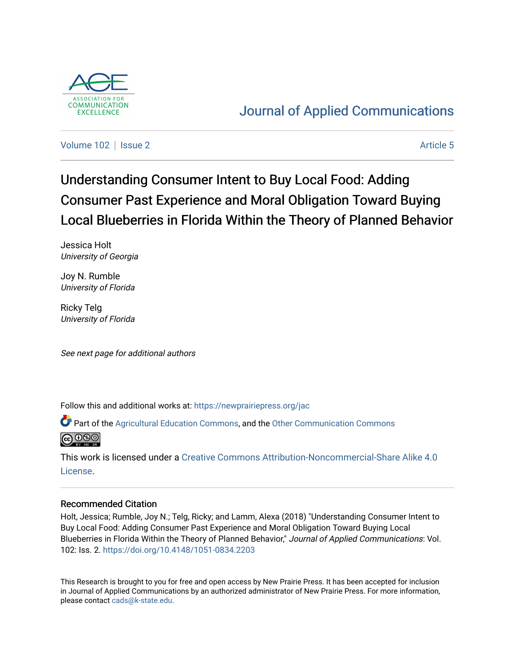

## [Journal of Applied Communications](https://newprairiepress.org/jac)

[Volume 102](https://newprairiepress.org/jac/vol102) | [Issue 2](https://newprairiepress.org/jac/vol102/iss2) Article 5

# Understanding Consumer Intent to Buy Local Food: Adding Consumer Past Experience and Moral Obligation Toward Buying Local Blueberries in Florida Within the Theory of Planned Behavior

Jessica Holt University of Georgia

Joy N. Rumble University of Florida

Ricky Telg University of Florida

See next page for additional authors

Follow this and additional works at: [https://newprairiepress.org/jac](https://newprairiepress.org/jac?utm_source=newprairiepress.org%2Fjac%2Fvol102%2Fiss2%2F5&utm_medium=PDF&utm_campaign=PDFCoverPages)

Part of the [Agricultural Education Commons,](http://network.bepress.com/hgg/discipline/1231?utm_source=newprairiepress.org%2Fjac%2Fvol102%2Fiss2%2F5&utm_medium=PDF&utm_campaign=PDFCoverPages) and the [Other Communication Commons](http://network.bepress.com/hgg/discipline/339?utm_source=newprairiepress.org%2Fjac%2Fvol102%2Fiss2%2F5&utm_medium=PDF&utm_campaign=PDFCoverPages) 



This work is licensed under a [Creative Commons Attribution-Noncommercial-Share Alike 4.0](https://creativecommons.org/licenses/by-nc-sa/4.0/) [License.](https://creativecommons.org/licenses/by-nc-sa/4.0/)

## Recommended Citation

Holt, Jessica; Rumble, Joy N.; Telg, Ricky; and Lamm, Alexa (2018) "Understanding Consumer Intent to Buy Local Food: Adding Consumer Past Experience and Moral Obligation Toward Buying Local Blueberries in Florida Within the Theory of Planned Behavior," Journal of Applied Communications: Vol. 102: Iss. 2. <https://doi.org/10.4148/1051-0834.2203>

This Research is brought to you for free and open access by New Prairie Press. It has been accepted for inclusion in Journal of Applied Communications by an authorized administrator of New Prairie Press. For more information, please contact [cads@k-state.edu.](mailto:cads@k-state.edu)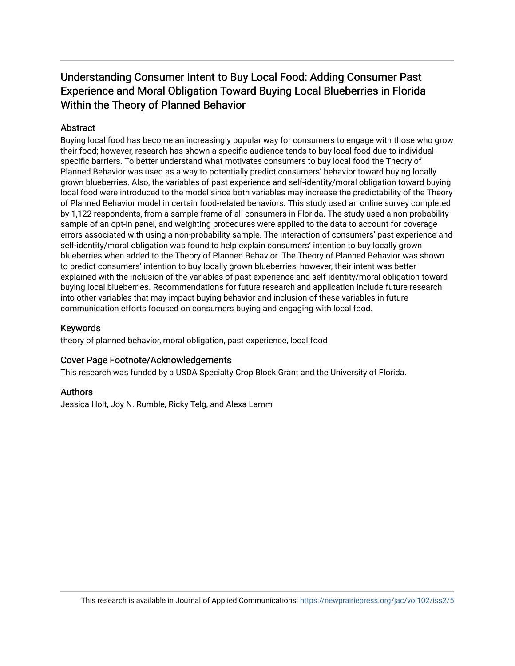## Understanding Consumer Intent to Buy Local Food: Adding Consumer Past Experience and Moral Obligation Toward Buying Local Blueberries in Florida Within the Theory of Planned Behavior

## **Abstract**

Buying local food has become an increasingly popular way for consumers to engage with those who grow their food; however, research has shown a specific audience tends to buy local food due to individualspecific barriers. To better understand what motivates consumers to buy local food the Theory of Planned Behavior was used as a way to potentially predict consumers' behavior toward buying locally grown blueberries. Also, the variables of past experience and self-identity/moral obligation toward buying local food were introduced to the model since both variables may increase the predictability of the Theory of Planned Behavior model in certain food-related behaviors. This study used an online survey completed by 1,122 respondents, from a sample frame of all consumers in Florida. The study used a non-probability sample of an opt-in panel, and weighting procedures were applied to the data to account for coverage errors associated with using a non-probability sample. The interaction of consumers' past experience and self-identity/moral obligation was found to help explain consumers' intention to buy locally grown blueberries when added to the Theory of Planned Behavior. The Theory of Planned Behavior was shown to predict consumers' intention to buy locally grown blueberries; however, their intent was better explained with the inclusion of the variables of past experience and self-identity/moral obligation toward buying local blueberries. Recommendations for future research and application include future research into other variables that may impact buying behavior and inclusion of these variables in future communication efforts focused on consumers buying and engaging with local food.

## Keywords

theory of planned behavior, moral obligation, past experience, local food

## Cover Page Footnote/Acknowledgements

This research was funded by a USDA Specialty Crop Block Grant and the University of Florida.

## Authors

Jessica Holt, Joy N. Rumble, Ricky Telg, and Alexa Lamm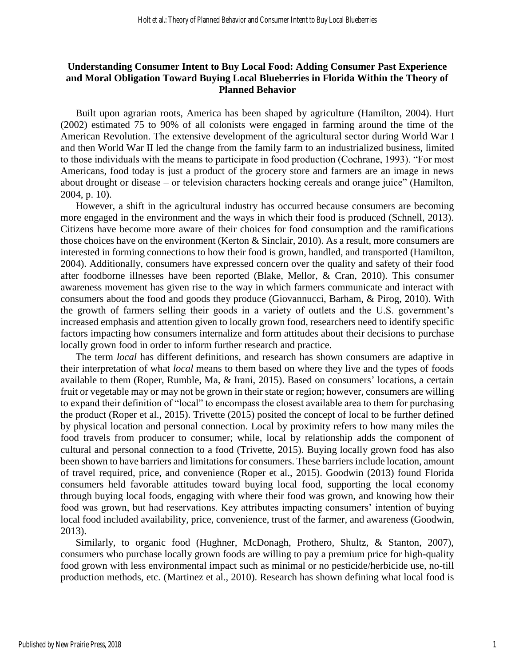## **Understanding Consumer Intent to Buy Local Food: Adding Consumer Past Experience and Moral Obligation Toward Buying Local Blueberries in Florida Within the Theory of Planned Behavior**

Built upon agrarian roots, America has been shaped by agriculture (Hamilton, 2004). Hurt (2002) estimated 75 to 90% of all colonists were engaged in farming around the time of the American Revolution. The extensive development of the agricultural sector during World War I and then World War II led the change from the family farm to an industrialized business, limited to those individuals with the means to participate in food production (Cochrane, 1993). "For most Americans, food today is just a product of the grocery store and farmers are an image in news about drought or disease – or television characters hocking cereals and orange juice" (Hamilton, 2004, p. 10).

However, a shift in the agricultural industry has occurred because consumers are becoming more engaged in the environment and the ways in which their food is produced (Schnell, 2013). Citizens have become more aware of their choices for food consumption and the ramifications those choices have on the environment (Kerton & Sinclair, 2010). As a result, more consumers are interested in forming connections to how their food is grown, handled, and transported (Hamilton, 2004). Additionally, consumers have expressed concern over the quality and safety of their food after foodborne illnesses have been reported (Blake, Mellor, & Cran, 2010). This consumer awareness movement has given rise to the way in which farmers communicate and interact with consumers about the food and goods they produce (Giovannucci, Barham, & Pirog, 2010). With the growth of farmers selling their goods in a variety of outlets and the U.S. government's increased emphasis and attention given to locally grown food, researchers need to identify specific factors impacting how consumers internalize and form attitudes about their decisions to purchase locally grown food in order to inform further research and practice.

The term *local* has different definitions, and research has shown consumers are adaptive in their interpretation of what *local* means to them based on where they live and the types of foods available to them (Roper, Rumble, Ma, & Irani, 2015). Based on consumers' locations, a certain fruit or vegetable may or may not be grown in their state or region; however, consumers are willing to expand their definition of "local" to encompass the closest available area to them for purchasing the product (Roper et al., 2015). Trivette (2015) posited the concept of local to be further defined by physical location and personal connection. Local by proximity refers to how many miles the food travels from producer to consumer; while, local by relationship adds the component of cultural and personal connection to a food (Trivette, 2015). Buying locally grown food has also been shown to have barriers and limitations for consumers. These barriers include location, amount of travel required, price, and convenience (Roper et al., 2015). Goodwin (2013) found Florida consumers held favorable attitudes toward buying local food, supporting the local economy through buying local foods, engaging with where their food was grown, and knowing how their food was grown, but had reservations. Key attributes impacting consumers' intention of buying local food included availability, price, convenience, trust of the farmer, and awareness (Goodwin, 2013).

Similarly, to organic food (Hughner, McDonagh, Prothero, Shultz, & Stanton, 2007), consumers who purchase locally grown foods are willing to pay a premium price for high-quality food grown with less environmental impact such as minimal or no pesticide/herbicide use, no-till production methods, etc. (Martinez et al., 2010). Research has shown defining what local food is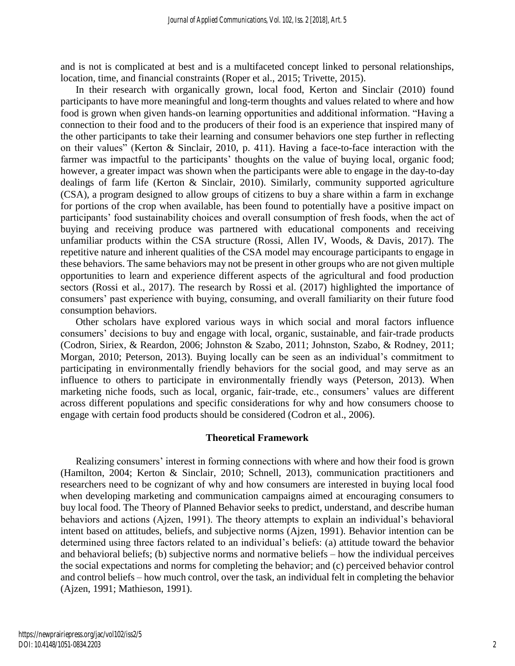and is not is complicated at best and is a multifaceted concept linked to personal relationships, location, time, and financial constraints (Roper et al., 2015; Trivette, 2015).

In their research with organically grown, local food, Kerton and Sinclair (2010) found participants to have more meaningful and long-term thoughts and values related to where and how food is grown when given hands-on learning opportunities and additional information. "Having a connection to their food and to the producers of their food is an experience that inspired many of the other participants to take their learning and consumer behaviors one step further in reflecting on their values" (Kerton & Sinclair, 2010, p. 411). Having a face-to-face interaction with the farmer was impactful to the participants' thoughts on the value of buying local, organic food; however, a greater impact was shown when the participants were able to engage in the day-to-day dealings of farm life (Kerton & Sinclair, 2010). Similarly, community supported agriculture (CSA), a program designed to allow groups of citizens to buy a share within a farm in exchange for portions of the crop when available, has been found to potentially have a positive impact on participants' food sustainability choices and overall consumption of fresh foods, when the act of buying and receiving produce was partnered with educational components and receiving unfamiliar products within the CSA structure (Rossi, Allen IV, Woods, & Davis, 2017). The repetitive nature and inherent qualities of the CSA model may encourage participants to engage in these behaviors. The same behaviors may not be present in other groups who are not given multiple opportunities to learn and experience different aspects of the agricultural and food production sectors (Rossi et al., 2017). The research by Rossi et al. (2017) highlighted the importance of consumers' past experience with buying, consuming, and overall familiarity on their future food consumption behaviors.

Other scholars have explored various ways in which social and moral factors influence consumers' decisions to buy and engage with local, organic, sustainable, and fair-trade products (Codron, Siriex, & Reardon, 2006; Johnston & Szabo, 2011; Johnston, Szabo, & Rodney, 2011; Morgan, 2010; Peterson, 2013). Buying locally can be seen as an individual's commitment to participating in environmentally friendly behaviors for the social good, and may serve as an influence to others to participate in environmentally friendly ways (Peterson, 2013). When marketing niche foods, such as local, organic, fair-trade, etc., consumers' values are different across different populations and specific considerations for why and how consumers choose to engage with certain food products should be considered (Codron et al., 2006).

#### **Theoretical Framework**

Realizing consumers' interest in forming connections with where and how their food is grown (Hamilton, 2004; Kerton & Sinclair, 2010; Schnell, 2013), communication practitioners and researchers need to be cognizant of why and how consumers are interested in buying local food when developing marketing and communication campaigns aimed at encouraging consumers to buy local food. The Theory of Planned Behavior seeks to predict, understand, and describe human behaviors and actions (Ajzen, 1991). The theory attempts to explain an individual's behavioral intent based on attitudes, beliefs, and subjective norms (Ajzen, 1991). Behavior intention can be determined using three factors related to an individual's beliefs: (a) attitude toward the behavior and behavioral beliefs; (b) subjective norms and normative beliefs – how the individual perceives the social expectations and norms for completing the behavior; and (c) perceived behavior control and control beliefs – how much control, over the task, an individual felt in completing the behavior (Ajzen, 1991; Mathieson, 1991).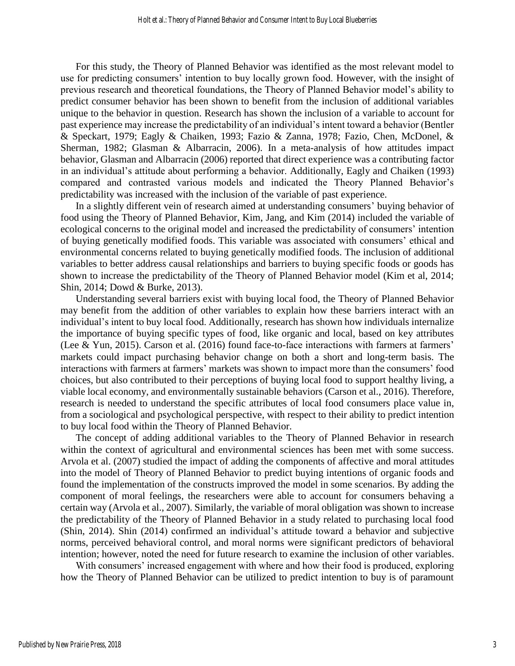For this study, the Theory of Planned Behavior was identified as the most relevant model to use for predicting consumers' intention to buy locally grown food. However, with the insight of previous research and theoretical foundations, the Theory of Planned Behavior model's ability to predict consumer behavior has been shown to benefit from the inclusion of additional variables unique to the behavior in question. Research has shown the inclusion of a variable to account for past experience may increase the predictability of an individual's intent toward a behavior (Bentler & Speckart, 1979; Eagly & Chaiken, 1993; Fazio & Zanna, 1978; Fazio, Chen, McDonel, & Sherman, 1982; Glasman & Albarracin, 2006). In a meta-analysis of how attitudes impact behavior, Glasman and Albarracin (2006) reported that direct experience was a contributing factor in an individual's attitude about performing a behavior. Additionally, Eagly and Chaiken (1993) compared and contrasted various models and indicated the Theory Planned Behavior's predictability was increased with the inclusion of the variable of past experience.

In a slightly different vein of research aimed at understanding consumers' buying behavior of food using the Theory of Planned Behavior, Kim, Jang, and Kim (2014) included the variable of ecological concerns to the original model and increased the predictability of consumers' intention of buying genetically modified foods. This variable was associated with consumers' ethical and environmental concerns related to buying genetically modified foods. The inclusion of additional variables to better address causal relationships and barriers to buying specific foods or goods has shown to increase the predictability of the Theory of Planned Behavior model (Kim et al, 2014; Shin, 2014; Dowd & Burke, 2013).

Understanding several barriers exist with buying local food, the Theory of Planned Behavior may benefit from the addition of other variables to explain how these barriers interact with an individual's intent to buy local food. Additionally, research has shown how individuals internalize the importance of buying specific types of food, like organic and local, based on key attributes (Lee & Yun, 2015). Carson et al. (2016) found face-to-face interactions with farmers at farmers' markets could impact purchasing behavior change on both a short and long-term basis. The interactions with farmers at farmers' markets was shown to impact more than the consumers' food choices, but also contributed to their perceptions of buying local food to support healthy living, a viable local economy, and environmentally sustainable behaviors (Carson et al., 2016). Therefore, research is needed to understand the specific attributes of local food consumers place value in, from a sociological and psychological perspective, with respect to their ability to predict intention to buy local food within the Theory of Planned Behavior.

The concept of adding additional variables to the Theory of Planned Behavior in research within the context of agricultural and environmental sciences has been met with some success. Arvola et al. (2007) studied the impact of adding the components of affective and moral attitudes into the model of Theory of Planned Behavior to predict buying intentions of organic foods and found the implementation of the constructs improved the model in some scenarios. By adding the component of moral feelings, the researchers were able to account for consumers behaving a certain way (Arvola et al., 2007). Similarly, the variable of moral obligation was shown to increase the predictability of the Theory of Planned Behavior in a study related to purchasing local food (Shin, 2014). Shin (2014) confirmed an individual's attitude toward a behavior and subjective norms, perceived behavioral control, and moral norms were significant predictors of behavioral intention; however, noted the need for future research to examine the inclusion of other variables.

With consumers' increased engagement with where and how their food is produced, exploring how the Theory of Planned Behavior can be utilized to predict intention to buy is of paramount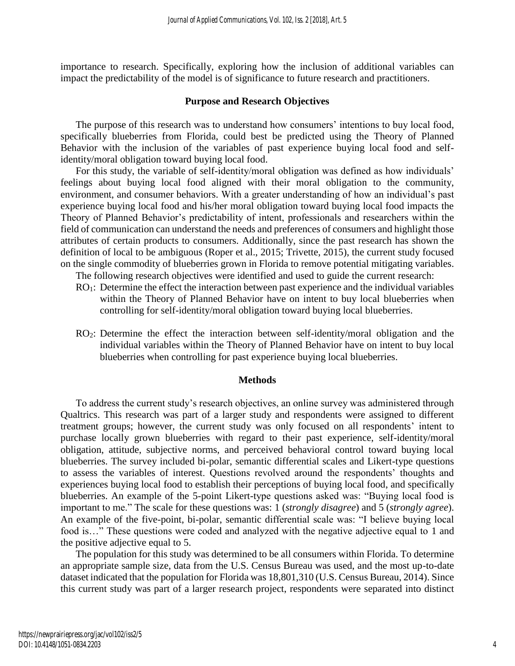importance to research. Specifically, exploring how the inclusion of additional variables can impact the predictability of the model is of significance to future research and practitioners.

#### **Purpose and Research Objectives**

The purpose of this research was to understand how consumers' intentions to buy local food, specifically blueberries from Florida, could best be predicted using the Theory of Planned Behavior with the inclusion of the variables of past experience buying local food and selfidentity/moral obligation toward buying local food.

For this study, the variable of self-identity/moral obligation was defined as how individuals' feelings about buying local food aligned with their moral obligation to the community, environment, and consumer behaviors. With a greater understanding of how an individual's past experience buying local food and his/her moral obligation toward buying local food impacts the Theory of Planned Behavior's predictability of intent, professionals and researchers within the field of communication can understand the needs and preferences of consumers and highlight those attributes of certain products to consumers. Additionally, since the past research has shown the definition of local to be ambiguous (Roper et al., 2015; Trivette, 2015), the current study focused on the single commodity of blueberries grown in Florida to remove potential mitigating variables.

- The following research objectives were identified and used to guide the current research:
- RO<sub>1</sub>: Determine the effect the interaction between past experience and the individual variables within the Theory of Planned Behavior have on intent to buy local blueberries when controlling for self-identity/moral obligation toward buying local blueberries.
- RO2: Determine the effect the interaction between self-identity/moral obligation and the individual variables within the Theory of Planned Behavior have on intent to buy local blueberries when controlling for past experience buying local blueberries.

#### **Methods**

To address the current study's research objectives, an online survey was administered through Qualtrics. This research was part of a larger study and respondents were assigned to different treatment groups; however, the current study was only focused on all respondents' intent to purchase locally grown blueberries with regard to their past experience, self-identity/moral obligation, attitude, subjective norms, and perceived behavioral control toward buying local blueberries. The survey included bi-polar, semantic differential scales and Likert-type questions to assess the variables of interest. Questions revolved around the respondents' thoughts and experiences buying local food to establish their perceptions of buying local food, and specifically blueberries. An example of the 5-point Likert-type questions asked was: "Buying local food is important to me." The scale for these questions was: 1 (*strongly disagree*) and 5 (*strongly agree*). An example of the five-point, bi-polar, semantic differential scale was: "I believe buying local food is..." These questions were coded and analyzed with the negative adjective equal to 1 and the positive adjective equal to 5.

The population for this study was determined to be all consumers within Florida. To determine an appropriate sample size, data from the U.S. Census Bureau was used, and the most up-to-date dataset indicated that the population for Florida was 18,801,310 (U.S. Census Bureau, 2014). Since this current study was part of a larger research project, respondents were separated into distinct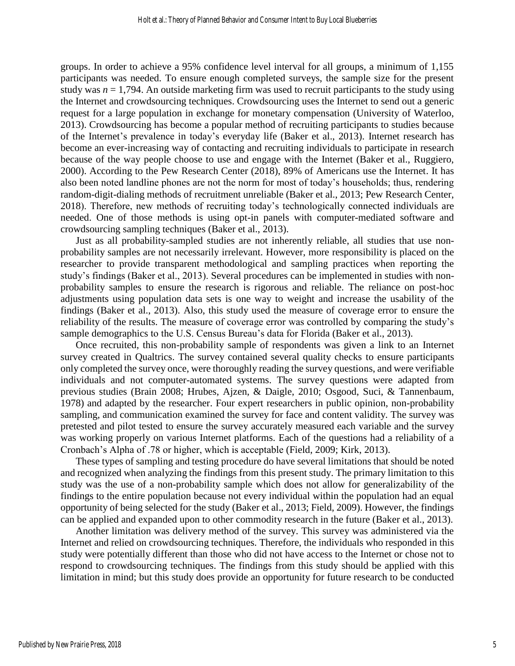groups. In order to achieve a 95% confidence level interval for all groups, a minimum of 1,155 participants was needed. To ensure enough completed surveys, the sample size for the present study was  $n = 1,794$ . An outside marketing firm was used to recruit participants to the study using the Internet and crowdsourcing techniques. Crowdsourcing uses the Internet to send out a generic request for a large population in exchange for monetary compensation (University of Waterloo, 2013). Crowdsourcing has become a popular method of recruiting participants to studies because of the Internet's prevalence in today's everyday life (Baker et al., 2013). Internet research has become an ever-increasing way of contacting and recruiting individuals to participate in research because of the way people choose to use and engage with the Internet (Baker et al., Ruggiero, 2000). According to the Pew Research Center (2018), 89% of Americans use the Internet. It has also been noted landline phones are not the norm for most of today's households; thus, rendering random-digit-dialing methods of recruitment unreliable (Baker et al., 2013; Pew Research Center, 2018). Therefore, new methods of recruiting today's technologically connected individuals are needed. One of those methods is using opt-in panels with computer-mediated software and crowdsourcing sampling techniques (Baker et al., 2013).

Just as all probability-sampled studies are not inherently reliable, all studies that use nonprobability samples are not necessarily irrelevant. However, more responsibility is placed on the researcher to provide transparent methodological and sampling practices when reporting the study's findings (Baker et al., 2013). Several procedures can be implemented in studies with nonprobability samples to ensure the research is rigorous and reliable. The reliance on post-hoc adjustments using population data sets is one way to weight and increase the usability of the findings (Baker et al., 2013). Also, this study used the measure of coverage error to ensure the reliability of the results. The measure of coverage error was controlled by comparing the study's sample demographics to the U.S. Census Bureau's data for Florida (Baker et al., 2013).

Once recruited, this non-probability sample of respondents was given a link to an Internet survey created in Qualtrics. The survey contained several quality checks to ensure participants only completed the survey once, were thoroughly reading the survey questions, and were verifiable individuals and not computer-automated systems. The survey questions were adapted from previous studies (Brain 2008; Hrubes, Ajzen, & Daigle, 2010; Osgood, Suci, & Tannenbaum, 1978) and adapted by the researcher. Four expert researchers in public opinion, non-probability sampling, and communication examined the survey for face and content validity. The survey was pretested and pilot tested to ensure the survey accurately measured each variable and the survey was working properly on various Internet platforms. Each of the questions had a reliability of a Cronbach's Alpha of .78 or higher, which is acceptable (Field, 2009; Kirk, 2013).

These types of sampling and testing procedure do have several limitations that should be noted and recognized when analyzing the findings from this present study. The primary limitation to this study was the use of a non-probability sample which does not allow for generalizability of the findings to the entire population because not every individual within the population had an equal opportunity of being selected for the study (Baker et al., 2013; Field, 2009). However, the findings can be applied and expanded upon to other commodity research in the future (Baker et al., 2013).

Another limitation was delivery method of the survey. This survey was administered via the Internet and relied on crowdsourcing techniques. Therefore, the individuals who responded in this study were potentially different than those who did not have access to the Internet or chose not to respond to crowdsourcing techniques. The findings from this study should be applied with this limitation in mind; but this study does provide an opportunity for future research to be conducted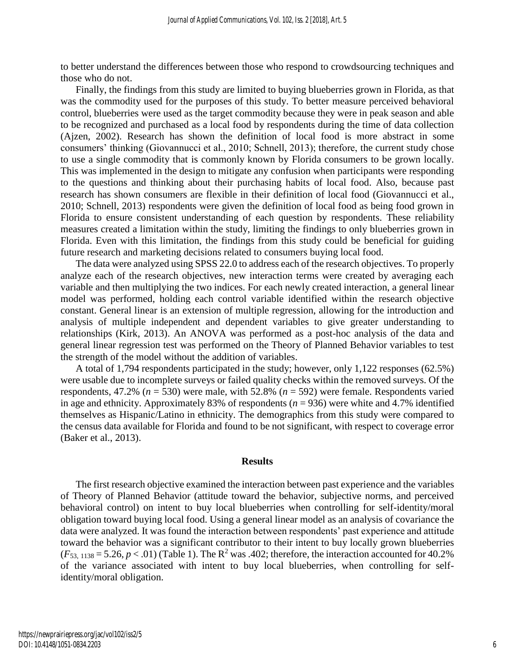to better understand the differences between those who respond to crowdsourcing techniques and those who do not.

Finally, the findings from this study are limited to buying blueberries grown in Florida, as that was the commodity used for the purposes of this study. To better measure perceived behavioral control, blueberries were used as the target commodity because they were in peak season and able to be recognized and purchased as a local food by respondents during the time of data collection (Ajzen, 2002). Research has shown the definition of local food is more abstract in some consumers' thinking (Giovannucci et al., 2010; Schnell, 2013); therefore, the current study chose to use a single commodity that is commonly known by Florida consumers to be grown locally. This was implemented in the design to mitigate any confusion when participants were responding to the questions and thinking about their purchasing habits of local food. Also, because past research has shown consumers are flexible in their definition of local food (Giovannucci et al., 2010; Schnell, 2013) respondents were given the definition of local food as being food grown in Florida to ensure consistent understanding of each question by respondents. These reliability measures created a limitation within the study, limiting the findings to only blueberries grown in Florida. Even with this limitation, the findings from this study could be beneficial for guiding future research and marketing decisions related to consumers buying local food.

The data were analyzed using SPSS 22.0 to address each of the research objectives. To properly analyze each of the research objectives, new interaction terms were created by averaging each variable and then multiplying the two indices. For each newly created interaction, a general linear model was performed, holding each control variable identified within the research objective constant. General linear is an extension of multiple regression, allowing for the introduction and analysis of multiple independent and dependent variables to give greater understanding to relationships (Kirk, 2013). An ANOVA was performed as a post-hoc analysis of the data and general linear regression test was performed on the Theory of Planned Behavior variables to test the strength of the model without the addition of variables.

A total of 1,794 respondents participated in the study; however, only 1,122 responses (62.5%) were usable due to incomplete surveys or failed quality checks within the removed surveys. Of the respondents, 47.2% (*n* = 530) were male, with 52.8% (*n* = 592) were female. Respondents varied in age and ethnicity. Approximately 83% of respondents  $(n = 936)$  were white and 4.7% identified themselves as Hispanic/Latino in ethnicity. The demographics from this study were compared to the census data available for Florida and found to be not significant, with respect to coverage error (Baker et al., 2013).

#### **Results**

The first research objective examined the interaction between past experience and the variables of Theory of Planned Behavior (attitude toward the behavior, subjective norms, and perceived behavioral control) on intent to buy local blueberries when controlling for self-identity/moral obligation toward buying local food. Using a general linear model as an analysis of covariance the data were analyzed. It was found the interaction between respondents' past experience and attitude toward the behavior was a significant contributor to their intent to buy locally grown blueberries  $(F_{53, 1138} = 5.26, p < .01)$  (Table 1). The R<sup>2</sup> was .402; therefore, the interaction accounted for 40.2% of the variance associated with intent to buy local blueberries, when controlling for selfidentity/moral obligation.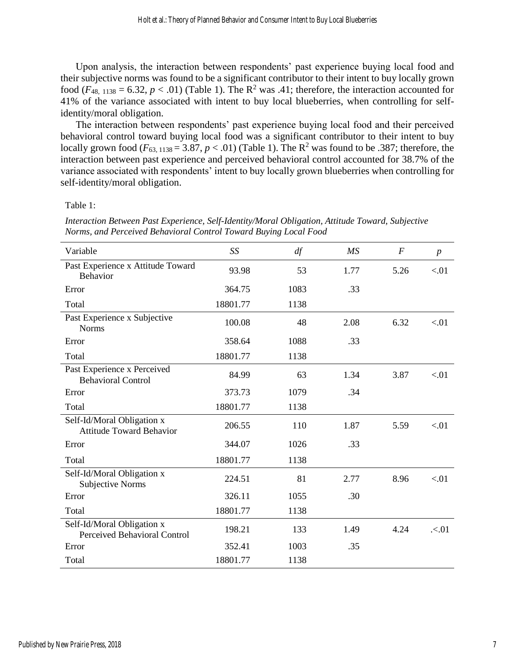Upon analysis, the interaction between respondents' past experience buying local food and their subjective norms was found to be a significant contributor to their intent to buy locally grown food ( $F_{48, 1138} = 6.32, p < .01$ ) (Table 1). The R<sup>2</sup> was .41; therefore, the interaction accounted for 41% of the variance associated with intent to buy local blueberries, when controlling for selfidentity/moral obligation.

The interaction between respondents' past experience buying local food and their perceived behavioral control toward buying local food was a significant contributor to their intent to buy locally grown food ( $F_{63, 1138} = 3.87, p < .01$ ) (Table 1). The R<sup>2</sup> was found to be .387; therefore, the interaction between past experience and perceived behavioral control accounted for 38.7% of the variance associated with respondents' intent to buy locally grown blueberries when controlling for self-identity/moral obligation.

Table 1:

*Interaction Between Past Experience, Self-Identity/Moral Obligation, Attitude Toward, Subjective Norms, and Perceived Behavioral Control Toward Buying Local Food*

| Variable                                                      | SS       | df   | MS   | $\overline{F}$ | $\boldsymbol{p}$ |
|---------------------------------------------------------------|----------|------|------|----------------|------------------|
| Past Experience x Attitude Toward<br>Behavior                 | 93.98    | 53   | 1.77 | 5.26           | < 01             |
| Error                                                         | 364.75   | 1083 | .33  |                |                  |
| Total                                                         | 18801.77 | 1138 |      |                |                  |
| Past Experience x Subjective<br><b>Norms</b>                  | 100.08   | 48   | 2.08 | 6.32           | < 01             |
| Error                                                         | 358.64   | 1088 | .33  |                |                  |
| Total                                                         | 18801.77 | 1138 |      |                |                  |
| Past Experience x Perceived<br><b>Behavioral Control</b>      | 84.99    | 63   | 1.34 | 3.87           | < 01             |
| Error                                                         | 373.73   | 1079 | .34  |                |                  |
| Total                                                         | 18801.77 | 1138 |      |                |                  |
| Self-Id/Moral Obligation x<br><b>Attitude Toward Behavior</b> | 206.55   | 110  | 1.87 | 5.59           | < 01             |
| Error                                                         | 344.07   | 1026 | .33  |                |                  |
| Total                                                         | 18801.77 | 1138 |      |                |                  |
| Self-Id/Moral Obligation x<br><b>Subjective Norms</b>         | 224.51   | 81   | 2.77 | 8.96           | < 01             |
| Error                                                         | 326.11   | 1055 | .30  |                |                  |
| Total                                                         | 18801.77 | 1138 |      |                |                  |
| Self-Id/Moral Obligation x<br>Perceived Behavioral Control    | 198.21   | 133  | 1.49 | 4.24           | .501             |
| Error                                                         | 352.41   | 1003 | .35  |                |                  |
| Total                                                         | 18801.77 | 1138 |      |                |                  |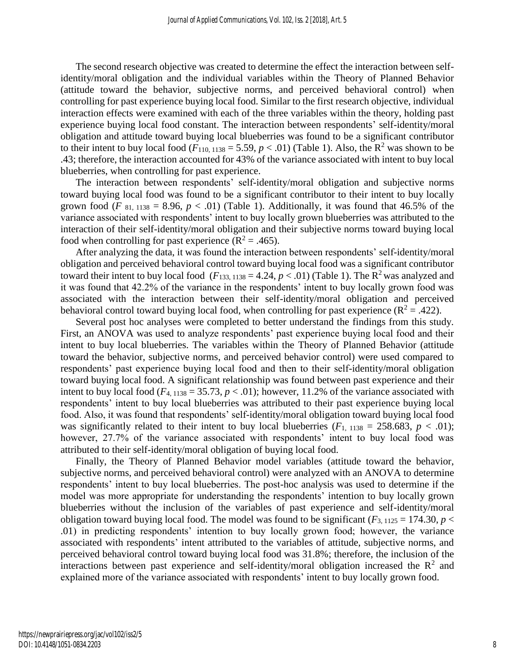The second research objective was created to determine the effect the interaction between selfidentity/moral obligation and the individual variables within the Theory of Planned Behavior (attitude toward the behavior, subjective norms, and perceived behavioral control) when controlling for past experience buying local food. Similar to the first research objective, individual interaction effects were examined with each of the three variables within the theory, holding past experience buying local food constant. The interaction between respondents' self-identity/moral obligation and attitude toward buying local blueberries was found to be a significant contributor to their intent to buy local food  $(F_{110, 1138} = 5.59, p < .01)$  (Table 1). Also, the R<sup>2</sup> was shown to be .43; therefore, the interaction accounted for 43% of the variance associated with intent to buy local blueberries, when controlling for past experience.

The interaction between respondents' self-identity/moral obligation and subjective norms toward buying local food was found to be a significant contributor to their intent to buy locally grown food (*F*  $_{81, 1138} = 8.96, p < .01$ ) (Table 1). Additionally, it was found that 46.5% of the variance associated with respondents' intent to buy locally grown blueberries was attributed to the interaction of their self-identity/moral obligation and their subjective norms toward buying local food when controlling for past experience ( $R^2 = .465$ ).

After analyzing the data, it was found the interaction between respondents' self-identity/moral obligation and perceived behavioral control toward buying local food was a significant contributor toward their intent to buy local food  $(F_{133, 1138} = 4.24, p < .01)$  (Table 1). The R<sup>2</sup> was analyzed and it was found that 42.2% of the variance in the respondents' intent to buy locally grown food was associated with the interaction between their self-identity/moral obligation and perceived behavioral control toward buying local food, when controlling for past experience ( $R^2 = .422$ ).

Several post hoc analyses were completed to better understand the findings from this study. First, an ANOVA was used to analyze respondents' past experience buying local food and their intent to buy local blueberries. The variables within the Theory of Planned Behavior (attitude toward the behavior, subjective norms, and perceived behavior control) were used compared to respondents' past experience buying local food and then to their self-identity/moral obligation toward buying local food. A significant relationship was found between past experience and their intent to buy local food ( $F_{4, 1138} = 35.73$ ,  $p < .01$ ); however, 11.2% of the variance associated with respondents' intent to buy local blueberries was attributed to their past experience buying local food. Also, it was found that respondents' self-identity/moral obligation toward buying local food was significantly related to their intent to buy local blueberries  $(F_1, 1138 = 258.683, p < .01)$ ; however, 27.7% of the variance associated with respondents' intent to buy local food was attributed to their self-identity/moral obligation of buying local food.

Finally, the Theory of Planned Behavior model variables (attitude toward the behavior, subjective norms, and perceived behavioral control) were analyzed with an ANOVA to determine respondents' intent to buy local blueberries. The post-hoc analysis was used to determine if the model was more appropriate for understanding the respondents' intention to buy locally grown blueberries without the inclusion of the variables of past experience and self-identity/moral obligation toward buying local food. The model was found to be significant  $(F_{3,1125} = 174.30, p <$ .01) in predicting respondents' intention to buy locally grown food; however, the variance associated with respondents' intent attributed to the variables of attitude, subjective norms, and perceived behavioral control toward buying local food was 31.8%; therefore, the inclusion of the interactions between past experience and self-identity/moral obligation increased the  $\mathbb{R}^2$  and explained more of the variance associated with respondents' intent to buy locally grown food.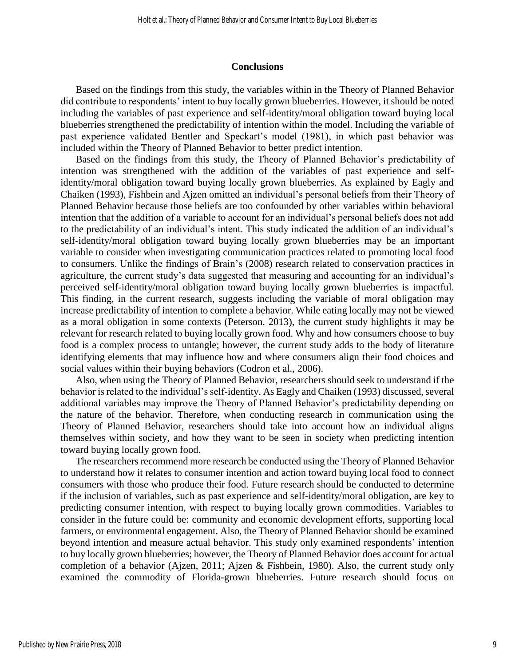#### **Conclusions**

Based on the findings from this study, the variables within in the Theory of Planned Behavior did contribute to respondents' intent to buy locally grown blueberries. However, it should be noted including the variables of past experience and self-identity/moral obligation toward buying local blueberries strengthened the predictability of intention within the model. Including the variable of past experience validated Bentler and Speckart's model (1981), in which past behavior was included within the Theory of Planned Behavior to better predict intention.

Based on the findings from this study, the Theory of Planned Behavior's predictability of intention was strengthened with the addition of the variables of past experience and selfidentity/moral obligation toward buying locally grown blueberries. As explained by Eagly and Chaiken (1993), Fishbein and Ajzen omitted an individual's personal beliefs from their Theory of Planned Behavior because those beliefs are too confounded by other variables within behavioral intention that the addition of a variable to account for an individual's personal beliefs does not add to the predictability of an individual's intent. This study indicated the addition of an individual's self-identity/moral obligation toward buying locally grown blueberries may be an important variable to consider when investigating communication practices related to promoting local food to consumers. Unlike the findings of Brain's (2008) research related to conservation practices in agriculture, the current study's data suggested that measuring and accounting for an individual's perceived self-identity/moral obligation toward buying locally grown blueberries is impactful. This finding, in the current research, suggests including the variable of moral obligation may increase predictability of intention to complete a behavior. While eating locally may not be viewed as a moral obligation in some contexts (Peterson, 2013), the current study highlights it may be relevant for research related to buying locally grown food. Why and how consumers choose to buy food is a complex process to untangle; however, the current study adds to the body of literature identifying elements that may influence how and where consumers align their food choices and social values within their buying behaviors (Codron et al., 2006).

Also, when using the Theory of Planned Behavior, researchers should seek to understand if the behavior is related to the individual's self-identity. As Eagly and Chaiken (1993) discussed, several additional variables may improve the Theory of Planned Behavior's predictability depending on the nature of the behavior. Therefore, when conducting research in communication using the Theory of Planned Behavior, researchers should take into account how an individual aligns themselves within society, and how they want to be seen in society when predicting intention toward buying locally grown food.

The researchers recommend more research be conducted using the Theory of Planned Behavior to understand how it relates to consumer intention and action toward buying local food to connect consumers with those who produce their food. Future research should be conducted to determine if the inclusion of variables, such as past experience and self-identity/moral obligation, are key to predicting consumer intention, with respect to buying locally grown commodities. Variables to consider in the future could be: community and economic development efforts, supporting local farmers, or environmental engagement. Also, the Theory of Planned Behavior should be examined beyond intention and measure actual behavior. This study only examined respondents' intention to buy locally grown blueberries; however, the Theory of Planned Behavior does account for actual completion of a behavior (Ajzen, 2011; Ajzen & Fishbein, 1980). Also, the current study only examined the commodity of Florida-grown blueberries. Future research should focus on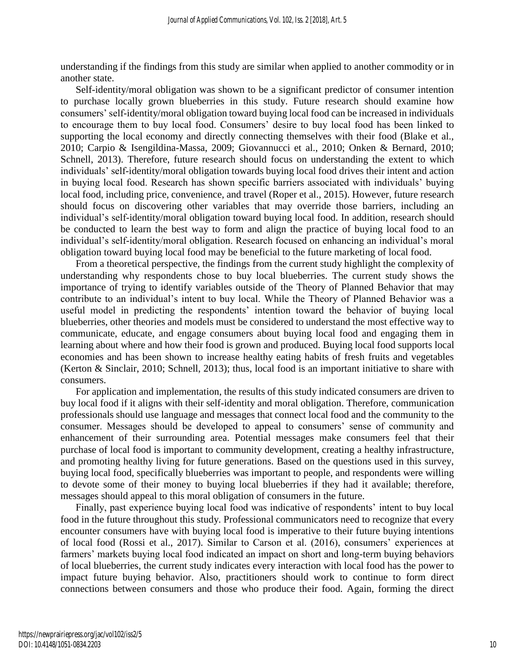understanding if the findings from this study are similar when applied to another commodity or in another state.

Self-identity/moral obligation was shown to be a significant predictor of consumer intention to purchase locally grown blueberries in this study. Future research should examine how consumers' self-identity/moral obligation toward buying local food can be increased in individuals to encourage them to buy local food. Consumers' desire to buy local food has been linked to supporting the local economy and directly connecting themselves with their food (Blake et al., 2010; Carpio & Isengildina-Massa, 2009; Giovannucci et al., 2010; Onken & Bernard, 2010; Schnell, 2013). Therefore, future research should focus on understanding the extent to which individuals' self-identity/moral obligation towards buying local food drives their intent and action in buying local food. Research has shown specific barriers associated with individuals' buying local food, including price, convenience, and travel (Roper et al., 2015). However, future research should focus on discovering other variables that may override those barriers, including an individual's self-identity/moral obligation toward buying local food. In addition, research should be conducted to learn the best way to form and align the practice of buying local food to an individual's self-identity/moral obligation. Research focused on enhancing an individual's moral obligation toward buying local food may be beneficial to the future marketing of local food.

From a theoretical perspective, the findings from the current study highlight the complexity of understanding why respondents chose to buy local blueberries. The current study shows the importance of trying to identify variables outside of the Theory of Planned Behavior that may contribute to an individual's intent to buy local. While the Theory of Planned Behavior was a useful model in predicting the respondents' intention toward the behavior of buying local blueberries, other theories and models must be considered to understand the most effective way to communicate, educate, and engage consumers about buying local food and engaging them in learning about where and how their food is grown and produced. Buying local food supports local economies and has been shown to increase healthy eating habits of fresh fruits and vegetables (Kerton & Sinclair, 2010; Schnell, 2013); thus, local food is an important initiative to share with consumers.

For application and implementation, the results of this study indicated consumers are driven to buy local food if it aligns with their self-identity and moral obligation. Therefore, communication professionals should use language and messages that connect local food and the community to the consumer. Messages should be developed to appeal to consumers' sense of community and enhancement of their surrounding area. Potential messages make consumers feel that their purchase of local food is important to community development, creating a healthy infrastructure, and promoting healthy living for future generations. Based on the questions used in this survey, buying local food, specifically blueberries was important to people, and respondents were willing to devote some of their money to buying local blueberries if they had it available; therefore, messages should appeal to this moral obligation of consumers in the future.

Finally, past experience buying local food was indicative of respondents' intent to buy local food in the future throughout this study. Professional communicators need to recognize that every encounter consumers have with buying local food is imperative to their future buying intentions of local food (Rossi et al., 2017). Similar to Carson et al. (2016), consumers' experiences at farmers' markets buying local food indicated an impact on short and long-term buying behaviors of local blueberries, the current study indicates every interaction with local food has the power to impact future buying behavior. Also, practitioners should work to continue to form direct connections between consumers and those who produce their food. Again, forming the direct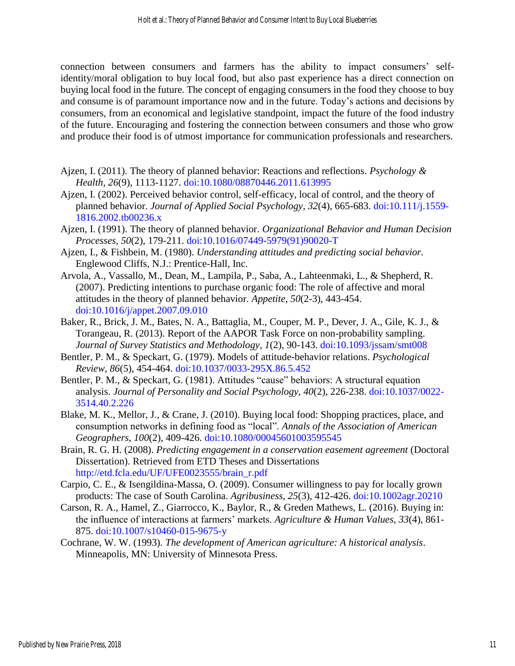connection between consumers and farmers has the ability to impact consumers' selfidentity/moral obligation to buy local food, but also past experience has a direct connection on buying local food in the future. The concept of engaging consumers in the food they choose to buy and consume is of paramount importance now and in the future. Today's actions and decisions by consumers, from an economical and legislative standpoint, impact the future of the food industry of the future. Encouraging and fostering the connection between consumers and those who grow and produce their food is of utmost importance for communication professionals and researchers.

- Ajzen, I. (2011). The theory of planned behavior: Reactions and reflections. *Psychology & Health, 26*(9), 1113-1127. [doi:10.1080/08870446.2011.613995](doi:%2010.1080/08870446.2011.613995)
- Ajzen, I. (2002). Perceived behavior control, self-efficacy, local of control, and the theory of planned behavior. *Journal of Applied Social Psychology, 32*(4), 665-683. [doi:10.111/j.1559-](doi:%2010.111/j.1559-1816.2002.tb00236.x) [1816.2002.tb00236.x](doi:%2010.111/j.1559-1816.2002.tb00236.x)
- Ajzen, I. (1991). The theory of planned behavior. *Organizational Behavior and Human Decision Processes, 50*(2), 179-211. [doi:10.1016/07449-5979\(91\)90020-T](doi:%2010.1016/07449-5979(91)90020-T)
- Ajzen, I., & Fishbein, M. (1980). *Understanding attitudes and predicting social behavior.* Englewood Cliffs, N.J.: Prentice-Hall, Inc.
- Arvola, A., Vassallo, M., Dean, M., Lampila, P., Saba, A., Lahteenmaki, L., & Shepherd, R. (2007). Predicting intentions to purchase organic food: The role of affective and moral attitudes in the theory of planned behavior. *Appetite, 50*(2-3), 443-454. [doi:10.1016/j/appet.2007.09.010](doi:%2010.1016/j/appet.2007.09.010)
- Baker, R., Brick, J. M., Bates, N. A., Battaglia, M., Couper, M. P., Dever, J. A., Gile, K. J., & Torangeau, R. (2013). Report of the AAPOR Task Force on non-probability sampling. *Journal of Survey Statistics and Methodology, 1*(2), 90-143. [doi:10.1093/jssam/smt008](https://doi.org/10.1093/jssam/smt008)
- Bentler, P. M., & Speckart, G. (1979). Models of attitude-behavior relations. *Psychological Review, 86*(5), 454-464. [doi:10.1037/0033-295X.86.5.452](doi:%2010.1037/0033-295X.86.5.452)
- Bentler, P. M., & Speckart, G. (1981). Attitudes "cause" behaviors: A structural equation analysis. *Journal of Personality and Social Psychology, 40*(2), 226-238. [doi:10.1037/0022-](http://dx.doi.org/10.1037/0022-3514.40.2.226) [3514.40.2.226](http://dx.doi.org/10.1037/0022-3514.40.2.226)
- Blake, M. K., Mellor, J., & Crane, J. (2010). Buying local food: Shopping practices, place, and consumption networks in defining food as "local". *Annals of the Association of American Geographers, 100*(2), 409-426. [doi:10.1080/00045601003595545](doi:%2010.1080/00045601003595545)
- Brain, R. G. H. (2008). *Predicting engagement in a conservation easement agreement* (Doctoral Dissertation). Retrieved from ETD Theses and Dissertations [http://etd.fcla.edu/UF/UFE0023555/brain\\_r.pdf](http://etd.fcla.edu/UF/UFE0023555/brain_r.pdf)
- Carpio, C. E., & Isengildina-Massa, O. (2009). Consumer willingness to pay for locally grown products: The case of South Carolina. *Agribusiness, 25*(3), 412-426. [doi:10.1002agr.20210](doi:%2010.1002agr.20210)
- Carson, R. A., Hamel, Z., Giarrocco, K., Baylor, R., & Greden Mathews, L. (2016). Buying in: the influence of interactions at farmers' markets. *Agriculture & Human Values, 33*(4), 861- 875. [doi:10.1007/s10460-015-9675-y](https://doi.org/10.1007/s10460-015-9675-y)
- Cochrane, W. W. (1993). *The development of American agriculture: A historical analysis*. Minneapolis, MN: University of Minnesota Press.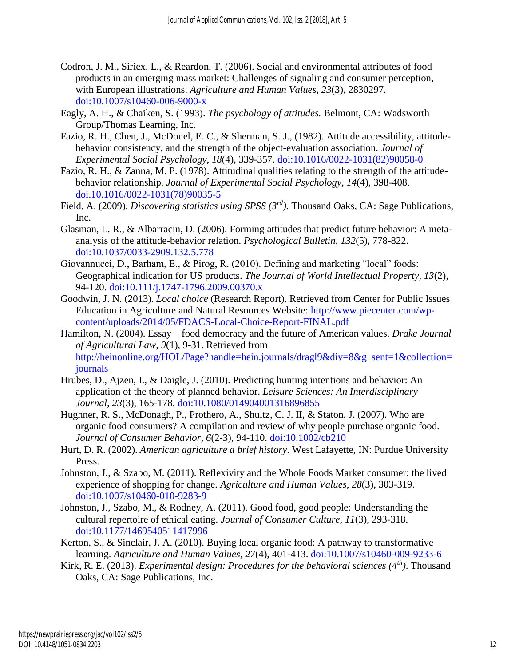- Codron, J. M., Siriex, L., & Reardon, T. (2006). Social and environmental attributes of food products in an emerging mass market: Challenges of signaling and consumer perception, with European illustrations. *Agriculture and Human Values, 23*(3), 2830297. [doi:10.1007/s10460-006-9000-x](doi:%2010.1007/s10460-006-9000-x)
- Eagly, A. H., & Chaiken, S. (1993). *The psychology of attitudes.* Belmont, CA: Wadsworth Group/Thomas Learning, Inc.
- Fazio, R. H., Chen, J., McDonel, E. C., & Sherman, S. J., (1982). Attitude accessibility, attitudebehavior consistency, and the strength of the object-evaluation association. *Journal of Experimental Social Psychology, 18*(4), 339-357. [doi:10.1016/0022-1031\(82\)90058-0](doi:%2010.1016/0022-1031(82)90058-0)
- Fazio, R. H., & Zanna, M. P. (1978). Attitudinal qualities relating to the strength of the attitudebehavior relationship. *Journal of Experimental Social Psychology, 14*(4), 398-408. [doi.10.1016/0022-1031\(78\)90035-5](https://doi.org/10.1016/0022-1031(78)90035-5)
- Field, A. (2009). *Discovering statistics using SPSS (3rd).* Thousand Oaks, CA: Sage Publications, Inc.
- Glasman, L. R., & Albarracin, D. (2006). Forming attitudes that predict future behavior: A metaanalysis of the attitude-behavior relation. *Psychological Bulletin, 132*(5), 778-822. [doi:10.1037/0033-2909.132.5.778](doi:%2010.1037/0033-2909.132.5.778)
- Giovannucci, D., Barham, E., & Pirog, R. (2010). Defining and marketing "local" foods: Geographical indication for US products. *The Journal of World Intellectual Property, 13*(2), 94-120. [doi:10.111/j.1747-1796.2009.00370.x](doi:%2010.111/j.1747-1796.2009.00370.x)
- Goodwin, J. N. (2013). *Local choice* (Research Report). Retrieved from Center for Public Issues Education in Agriculture and Natural Resources Website: [http://www.piecenter.com/wp](http://www.piecenter.com/wp-content/uploads/2014/05/FDACS-Local-Choice-Report-FINAL.pdf)[content/uploads/2014/05/FDACS-Local-Choice-Report-FINAL.pdf](http://www.piecenter.com/wp-content/uploads/2014/05/FDACS-Local-Choice-Report-FINAL.pdf)
- Hamilton, N. (2004). Essay food democracy and the future of American values. *Drake Journal of Agricultural Law, 9*(1), 9-31. Retrieved from [http://heinonline.org/HOL/Page?handle=hein.journals/dragl9&div=8&g\\_sent=1&collection=](http://heinonline.org/HOL/Page?handle=hein.journals/dragl9&div=8&g_sent=1&collection=journals) [journals](http://heinonline.org/HOL/Page?handle=hein.journals/dragl9&div=8&g_sent=1&collection=journals)
- Hrubes, D., Ajzen, I., & Daigle, J. (2010). Predicting hunting intentions and behavior: An application of the theory of planned behavior. *Leisure Sciences: An Interdisciplinary Journal, 23*(3), 165-178. [doi:10.1080/014904001316896855](doi:%2010.1080/014904001316896855)
- Hughner, R. S., McDonagh, P., Prothero, A., Shultz, C. J. II, & Staton, J. (2007). Who are organic food consumers? A compilation and review of why people purchase organic food. *Journal of Consumer Behavior, 6*(2-3), 94-110. [doi:10.1002/cb210](doi:%2010.1002/cb210)
- Hurt, D. R. (2002). *American agriculture a brief history*. West Lafayette, IN: Purdue University Press.
- Johnston, J., & Szabo, M. (2011). Reflexivity and the Whole Foods Market consumer: the lived experience of shopping for change. *Agriculture and Human Values, 28*(3), 303-319. [doi:10.1007/s10460-010-9283-9](doi:%2010.1007/s10460-010-9283-9)
- Johnston, J., Szabo, M., & Rodney, A. (2011). Good food, good people: Understanding the cultural repertoire of ethical eating. *Journal of Consumer Culture, 11*(3), 293-318. [doi:10.1177/1469540511417996](doi:%2010.1177/1469540511417996)
- Kerton, S., & Sinclair, J. A. (2010). Buying local organic food: A pathway to transformative learning. *Agriculture and Human Values, 27*(4), 401-413. [doi:10.1007/s10460-009-9233-6](doi:%2010.1007/s10460-009-9233-6)
- Kirk, R. E. (2013). *Experimental design: Procedures for the behavioral sciences (4th)*. Thousand Oaks, CA: Sage Publications, Inc.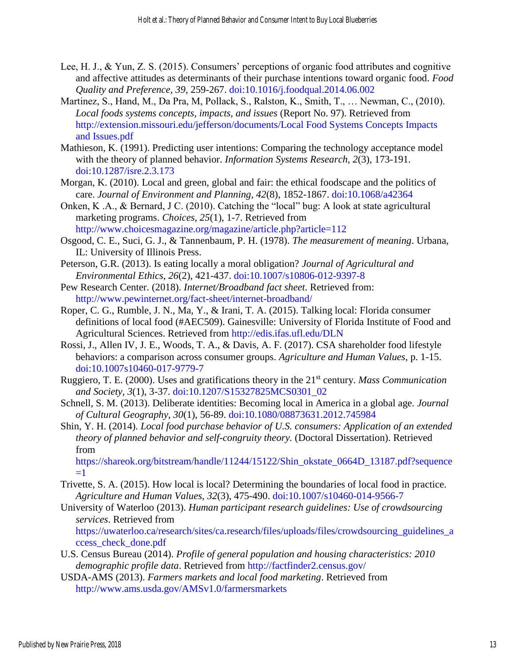- Lee, H. J., & Yun, Z. S. (2015). Consumers' perceptions of organic food attributes and cognitive and affective attitudes as determinants of their purchase intentions toward organic food. *Food Quality and Preference, 39*, 259-267. [doi:10.1016/j.foodqual.2014.06.002](https://doi.org/10.1016/j.foodqual.2014.06.002)
- Martinez, S., Hand, M., Da Pra, M, Pollack, S., Ralston, K., Smith, T., … Newman, C., (2010). *Local foods systems concepts, impacts, and issues* (Report No. 97). Retrieved from [http://extension.missouri.edu/jefferson/documents/Local Food Systems Concepts Impacts](http://extension.missouri.edu/jefferson/documents/Local%20Food%20Systems%20Concepts%20Imapcts%20and%20Issues.pdf)  [and Issues.pdf](http://extension.missouri.edu/jefferson/documents/Local%20Food%20Systems%20Concepts%20Imapcts%20and%20Issues.pdf)
- Mathieson, K. (1991). Predicting user intentions: Comparing the technology acceptance model with the theory of planned behavior. *Information Systems Research, 2*(3), 173-191. [doi:10.1287/isre.2.3.173](https://doi.org/10.1287/isre.2.3.173)
- Morgan, K. (2010). Local and green, global and fair: the ethical foodscape and the politics of care. *Journal of Environment and Planning, 42*(8), 1852-1867. [doi:10.1068/a42364](doi:%2010.1068/a42364)
- Onken, K .A., & Bernard, J C. (2010). Catching the "local" bug: A look at state agricultural marketing programs. *Choices, 25*(1), 1-7. Retrieved from <http://www.choicesmagazine.org/magazine/article.php?article=112>
- Osgood, C. E., Suci, G. J., & Tannenbaum, P. H. (1978). *The measurement of meaning*. Urbana, IL: University of Illinois Press.
- Peterson, G.R. (2013). Is eating locally a moral obligation? *Journal of Agricultural and Environmental Ethics, 26*(2), 421-437. [doi:10.1007/s10806-012-9397-8](doi:%2010.1007/s10806-012-9397-8)
- Pew Research Center. (2018). *Internet/Broadband fact sheet*. Retrieved from: <http://www.pewinternet.org/fact-sheet/internet-broadband/>
- Roper, C. G., Rumble, J. N., Ma, Y., & Irani, T. A. (2015). Talking local: Florida consumer definitions of local food (#AEC509). Gainesville: University of Florida Institute of Food and Agricultural Sciences. Retrieved from [http://edis.ifas.ufl.edu/DLN](http://www.edis.ifas.ufl.edu/wc174)
- Rossi, J., Allen IV, J. E., Woods, T. A., & Davis, A. F. (2017). CSA shareholder food lifestyle behaviors: a comparison across consumer groups. *Agriculture and Human Values,* p. 1-15. [doi:10.1007s10460-017-9779-7](doi:%2010.1007s10460-017-9779-7)
- Ruggiero, T. E. (2000). Uses and gratifications theory in the 21st century. *Mass Communication and Society, 3*(1), 3-37. [doi:10.1207/S15327825MCS0301\\_02](https://doi.org/10.1207/S15327825MCS0301_02)
- Schnell, S. M. (2013). Deliberate identities: Becoming local in America in a global age. *Journal of Cultural Geography, 30*(1), 56-89. [doi:10.1080/08873631.2012.745984](https://doi.org/10.1080/08873631.2012.745984)
- Shin, Y. H. (2014). *Local food purchase behavior of U.S. consumers: Application of an extended theory of planned behavior and self-congruity theory.* (Doctoral Dissertation). Retrieved from

[https://shareok.org/bitstream/handle/11244/15122/Shin\\_okstate\\_0664D\\_13187.pdf?sequence](https://shareok.org/bitstream/handle/11244/15122/Shin_okstate_0664D_13187.pdf?sequence=1)  $=1$ 

- Trivette, S. A. (2015). How local is local? Determining the boundaries of local food in practice. *Agriculture and Human Values, 32*(3), 475-490. [doi:10.1007/s10460-014-9566-7](https://doi.org/10.1007/s10460-014-9566-7)
- University of Waterloo (2013). *Human participant research guidelines: Use of crowdsourcing services*. Retrieved from

[https://uwaterloo.ca/research/sites/ca.research/files/uploads/files/crowdsourcing\\_guidelines\\_a](https://uwaterloo.ca/research/sites/ca.research/files/uploads/files/crowdsourcing_guidelines_access_check_done.pdf) [ccess\\_check\\_done.pdf](https://uwaterloo.ca/research/sites/ca.research/files/uploads/files/crowdsourcing_guidelines_access_check_done.pdf)

- U.S. Census Bureau (2014). *Profile of general population and housing characteristics: 2010 demographic profile data*. Retrieved from <http://factfinder2.census.gov/>
- USDA-AMS (2013). *Farmers markets and local food marketing*. Retrieved from <http://www.ams.usda.gov/AMSv1.0/farmersmarkets>